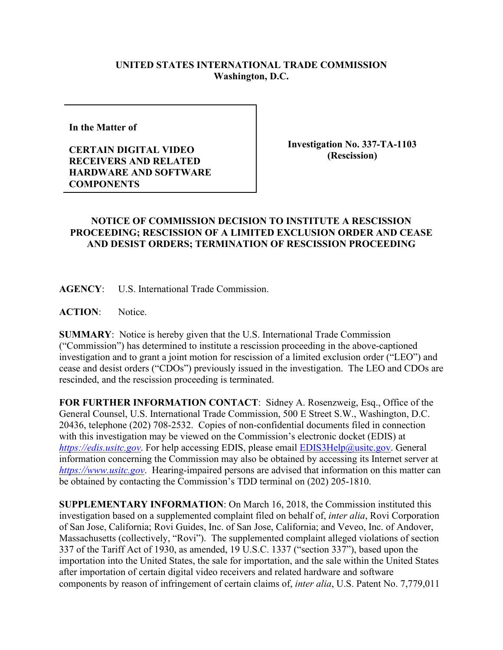## **UNITED STATES INTERNATIONAL TRADE COMMISSION Washington, D.C.**

**In the Matter of** 

**CERTAIN DIGITAL VIDEO RECEIVERS AND RELATED HARDWARE AND SOFTWARE COMPONENTS**

**Investigation No. 337-TA-1103 (Rescission)**

## **NOTICE OF COMMISSION DECISION TO INSTITUTE A RESCISSION PROCEEDING; RESCISSION OF A LIMITED EXCLUSION ORDER AND CEASE AND DESIST ORDERS; TERMINATION OF RESCISSION PROCEEDING**

**AGENCY**: U.S. International Trade Commission.

**ACTION**: Notice.

**SUMMARY**: Notice is hereby given that the U.S. International Trade Commission ("Commission") has determined to institute a rescission proceeding in the above-captioned investigation and to grant a joint motion for rescission of a limited exclusion order ("LEO") and cease and desist orders ("CDOs") previously issued in the investigation. The LEO and CDOs are rescinded, and the rescission proceeding is terminated.

**FOR FURTHER INFORMATION CONTACT**: Sidney A. Rosenzweig, Esq., Office of the General Counsel, U.S. International Trade Commission, 500 E Street S.W., Washington, D.C. 20436, telephone (202) 708-2532. Copies of non-confidential documents filed in connection with this investigation may be viewed on the Commission's electronic docket (EDIS) at *[https://edis.usitc.gov](https://edis.usitc.gov/).* For help accessing EDIS, please email [EDIS3Help@usitc.gov.](mailto:EDIS3Help@usitc.gov) General information concerning the Commission may also be obtained by accessing its Internet server at *[https://www.usitc.gov](https://www.usitc.gov/)*. Hearing-impaired persons are advised that information on this matter can be obtained by contacting the Commission's TDD terminal on (202) 205-1810.

**SUPPLEMENTARY INFORMATION**: On March 16, 2018, the Commission instituted this investigation based on a supplemented complaint filed on behalf of, *inter alia*, Rovi Corporation of San Jose, California; Rovi Guides, Inc. of San Jose, California; and Veveo, Inc. of Andover, Massachusetts (collectively, "Rovi"). The supplemented complaint alleged violations of section 337 of the Tariff Act of 1930, as amended, 19 U.S.C. 1337 ("section 337"), based upon the importation into the United States, the sale for importation, and the sale within the United States after importation of certain digital video receivers and related hardware and software components by reason of infringement of certain claims of, *inter alia*, U.S. Patent No. 7,779,011